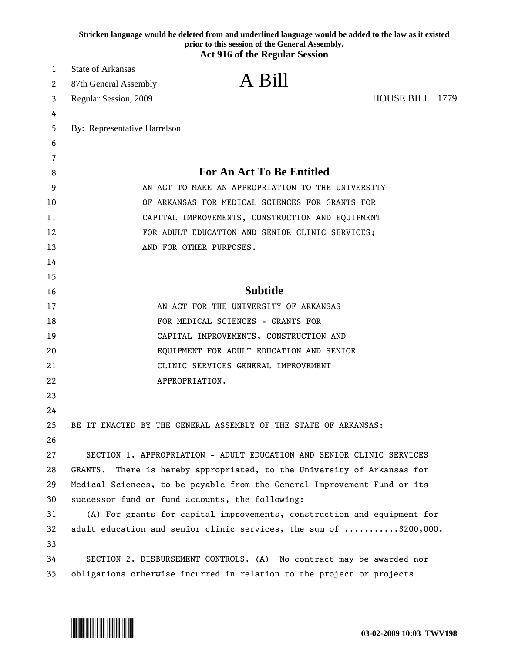|        |                                                   | Stricken language would be deleted from and underlined language would be added to the law as it existed<br>prior to this session of the General Assembly.<br><b>Act 916 of the Regular Session</b> |  |  |  |  |  |
|--------|---------------------------------------------------|----------------------------------------------------------------------------------------------------------------------------------------------------------------------------------------------------|--|--|--|--|--|
| 1      | <b>State of Arkansas</b>                          |                                                                                                                                                                                                    |  |  |  |  |  |
| 2      |                                                   | A Bill                                                                                                                                                                                             |  |  |  |  |  |
|        | 87th General Assembly                             | HOUSE BILL 1779                                                                                                                                                                                    |  |  |  |  |  |
| 3      | Regular Session, 2009                             |                                                                                                                                                                                                    |  |  |  |  |  |
| 4<br>5 | By: Representative Harrelson                      |                                                                                                                                                                                                    |  |  |  |  |  |
| 6      |                                                   |                                                                                                                                                                                                    |  |  |  |  |  |
| 7      |                                                   |                                                                                                                                                                                                    |  |  |  |  |  |
| 8      | <b>For An Act To Be Entitled</b>                  |                                                                                                                                                                                                    |  |  |  |  |  |
| 9      | AN ACT TO MAKE AN APPROPRIATION TO THE UNIVERSITY |                                                                                                                                                                                                    |  |  |  |  |  |
| 10     | OF ARKANSAS FOR MEDICAL SCIENCES FOR GRANTS FOR   |                                                                                                                                                                                                    |  |  |  |  |  |
| 11     |                                                   | CAPITAL IMPROVEMENTS, CONSTRUCTION AND EQUIPMENT                                                                                                                                                   |  |  |  |  |  |
| 12     | FOR ADULT EDUCATION AND SENIOR CLINIC SERVICES;   |                                                                                                                                                                                                    |  |  |  |  |  |
| 13     |                                                   | AND FOR OTHER PURPOSES.                                                                                                                                                                            |  |  |  |  |  |
| 14     |                                                   |                                                                                                                                                                                                    |  |  |  |  |  |
| 15     |                                                   |                                                                                                                                                                                                    |  |  |  |  |  |
| 16     |                                                   | <b>Subtitle</b>                                                                                                                                                                                    |  |  |  |  |  |
| 17     |                                                   | AN ACT FOR THE UNIVERSITY OF ARKANSAS                                                                                                                                                              |  |  |  |  |  |
| 18     |                                                   | FOR MEDICAL SCIENCES - GRANTS FOR                                                                                                                                                                  |  |  |  |  |  |
| 19     |                                                   | CAPITAL IMPROVEMENTS, CONSTRUCTION AND                                                                                                                                                             |  |  |  |  |  |
| 20     |                                                   | EQUIPMENT FOR ADULT EDUCATION AND SENIOR                                                                                                                                                           |  |  |  |  |  |
| 21     |                                                   | CLINIC SERVICES GENERAL IMPROVEMENT                                                                                                                                                                |  |  |  |  |  |
| 22     |                                                   | APPROPRIATION.                                                                                                                                                                                     |  |  |  |  |  |
| 23     |                                                   |                                                                                                                                                                                                    |  |  |  |  |  |
| 24     |                                                   |                                                                                                                                                                                                    |  |  |  |  |  |
| 25     |                                                   | BE IT ENACTED BY THE GENERAL ASSEMBLY OF THE STATE OF ARKANSAS:                                                                                                                                    |  |  |  |  |  |
| 26     |                                                   |                                                                                                                                                                                                    |  |  |  |  |  |
| 27     |                                                   | SECTION 1. APPROPRIATION - ADULT EDUCATION AND SENIOR CLINIC SERVICES                                                                                                                              |  |  |  |  |  |
| 28     | GRANTS.                                           | There is hereby appropriated, to the University of Arkansas for                                                                                                                                    |  |  |  |  |  |
| 29     |                                                   | Medical Sciences, to be payable from the General Improvement Fund or its                                                                                                                           |  |  |  |  |  |
| 30     |                                                   | successor fund or fund accounts, the following:                                                                                                                                                    |  |  |  |  |  |
| 31     |                                                   | (A) For grants for capital improvements, construction and equipment for                                                                                                                            |  |  |  |  |  |
| 32     |                                                   | adult education and senior clinic services, the sum of \$200,000.                                                                                                                                  |  |  |  |  |  |
| 33     |                                                   |                                                                                                                                                                                                    |  |  |  |  |  |
| 34     |                                                   | SECTION 2. DISBURSEMENT CONTROLS. (A) No contract may be awarded nor                                                                                                                               |  |  |  |  |  |
| 35     |                                                   | obligations otherwise incurred in relation to the project or projects                                                                                                                              |  |  |  |  |  |

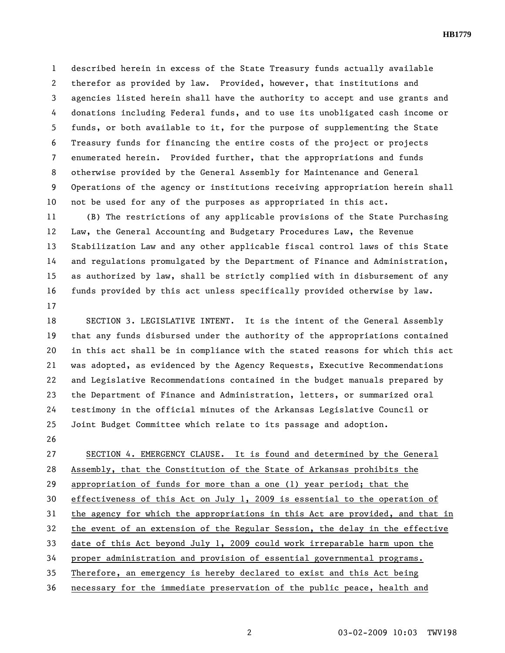1 described herein in excess of the State Treasury funds actually available 2 therefor as provided by law. Provided, however, that institutions and 3 agencies listed herein shall have the authority to accept and use grants and 4 donations including Federal funds, and to use its unobligated cash income or 5 funds, or both available to it, for the purpose of supplementing the State 6 Treasury funds for financing the entire costs of the project or projects 7 enumerated herein. Provided further, that the appropriations and funds 8 otherwise provided by the General Assembly for Maintenance and General 9 Operations of the agency or institutions receiving appropriation herein shall 10 not be used for any of the purposes as appropriated in this act.

11 (B) The restrictions of any applicable provisions of the State Purchasing 12 Law, the General Accounting and Budgetary Procedures Law, the Revenue 13 Stabilization Law and any other applicable fiscal control laws of this State 14 and regulations promulgated by the Department of Finance and Administration, 15 as authorized by law, shall be strictly complied with in disbursement of any 16 funds provided by this act unless specifically provided otherwise by law. 17

18 SECTION 3. LEGISLATIVE INTENT. It is the intent of the General Assembly 19 that any funds disbursed under the authority of the appropriations contained 20 in this act shall be in compliance with the stated reasons for which this act 21 was adopted, as evidenced by the Agency Requests, Executive Recommendations 22 and Legislative Recommendations contained in the budget manuals prepared by 23 the Department of Finance and Administration, letters, or summarized oral 24 testimony in the official minutes of the Arkansas Legislative Council or 25 Joint Budget Committee which relate to its passage and adoption.

26

27 SECTION 4. EMERGENCY CLAUSE. It is found and determined by the General 28 Assembly, that the Constitution of the State of Arkansas prohibits the 29 appropriation of funds for more than a one (1) year period; that the 30 effectiveness of this Act on July 1, 2009 is essential to the operation of 31 the agency for which the appropriations in this Act are provided, and that in 32 the event of an extension of the Regular Session, the delay in the effective 33 date of this Act beyond July 1, 2009 could work irreparable harm upon the 34 proper administration and provision of essential governmental programs. 35 Therefore, an emergency is hereby declared to exist and this Act being 36 necessary for the immediate preservation of the public peace, health and